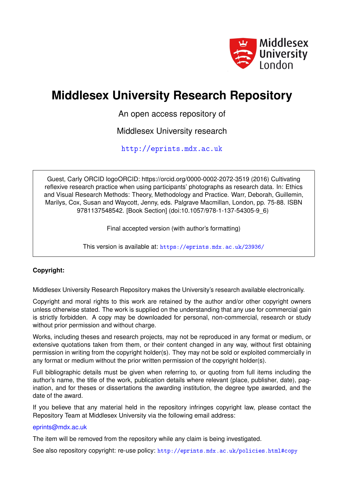

# **Middlesex University Research Repository**

An open access repository of

Middlesex University research

<http://eprints.mdx.ac.uk>

Guest, Carly ORCID logoORCID: https://orcid.org/0000-0002-2072-3519 (2016) Cultivating reflexive research practice when using participants' photographs as research data. In: Ethics and Visual Research Methods: Theory, Methodology and Practice. Warr, Deborah, Guillemin, Marilys, Cox, Susan and Waycott, Jenny, eds. Palgrave Macmillan, London, pp. 75-88. ISBN 9781137548542. [Book Section] (doi:10.1057/978-1-137-54305-9\_6)

Final accepted version (with author's formatting)

This version is available at: <https://eprints.mdx.ac.uk/23936/>

# **Copyright:**

Middlesex University Research Repository makes the University's research available electronically.

Copyright and moral rights to this work are retained by the author and/or other copyright owners unless otherwise stated. The work is supplied on the understanding that any use for commercial gain is strictly forbidden. A copy may be downloaded for personal, non-commercial, research or study without prior permission and without charge.

Works, including theses and research projects, may not be reproduced in any format or medium, or extensive quotations taken from them, or their content changed in any way, without first obtaining permission in writing from the copyright holder(s). They may not be sold or exploited commercially in any format or medium without the prior written permission of the copyright holder(s).

Full bibliographic details must be given when referring to, or quoting from full items including the author's name, the title of the work, publication details where relevant (place, publisher, date), pagination, and for theses or dissertations the awarding institution, the degree type awarded, and the date of the award.

If you believe that any material held in the repository infringes copyright law, please contact the Repository Team at Middlesex University via the following email address:

# [eprints@mdx.ac.uk](mailto:eprints@mdx.ac.uk)

The item will be removed from the repository while any claim is being investigated.

See also repository copyright: re-use policy: <http://eprints.mdx.ac.uk/policies.html#copy>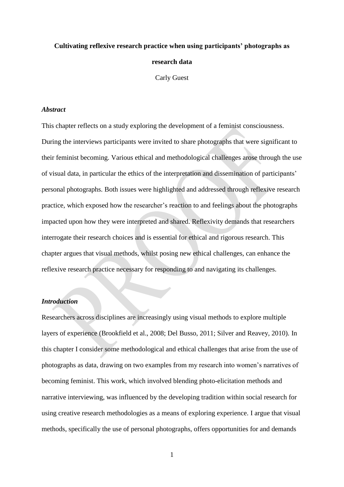# **Cultivating reflexive research practice when using participants' photographs as research data**

Carly Guest

#### *Abstract*

This chapter reflects on a study exploring the development of a feminist consciousness. During the interviews participants were invited to share photographs that were significant to their feminist becoming. Various ethical and methodological challenges arose through the use of visual data, in particular the ethics of the interpretation and dissemination of participants' personal photographs. Both issues were highlighted and addressed through reflexive research practice, which exposed how the researcher's reaction to and feelings about the photographs impacted upon how they were interpreted and shared. Reflexivity demands that researchers interrogate their research choices and is essential for ethical and rigorous research. This chapter argues that visual methods, whilst posing new ethical challenges, can enhance the reflexive research practice necessary for responding to and navigating its challenges.

## *Introduction*

Researchers across disciplines are increasingly using visual methods to explore multiple layers of experience (Brookfield et al., 2008; Del Busso, 2011; Silver and Reavey, 2010). In this chapter I consider some methodological and ethical challenges that arise from the use of photographs as data, drawing on two examples from my research into women's narratives of becoming feminist. This work, which involved blending photo-elicitation methods and narrative interviewing, was influenced by the developing tradition within social research for using creative research methodologies as a means of exploring experience. I argue that visual methods, specifically the use of personal photographs, offers opportunities for and demands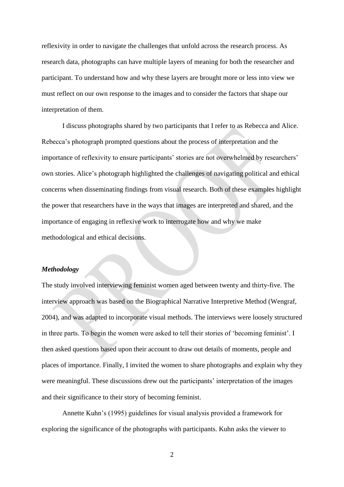reflexivity in order to navigate the challenges that unfold across the research process. As research data, photographs can have multiple layers of meaning for both the researcher and participant. To understand how and why these layers are brought more or less into view we must reflect on our own response to the images and to consider the factors that shape our interpretation of them.

I discuss photographs shared by two participants that I refer to as Rebecca and Alice. Rebecca's photograph prompted questions about the process of interpretation and the importance of reflexivity to ensure participants' stories are not overwhelmed by researchers' own stories. Alice's photograph highlighted the challenges of navigating political and ethical concerns when disseminating findings from visual research. Both of these examples highlight the power that researchers have in the ways that images are interpreted and shared, and the importance of engaging in reflexive work to interrogate how and why we make methodological and ethical decisions.

#### *Methodology*

The study involved interviewing feminist women aged between twenty and thirty-five. The interview approach was based on the Biographical Narrative Interpretive Method (Wengraf, 2004), and was adapted to incorporate visual methods. The interviews were loosely structured in three parts. To begin the women were asked to tell their stories of 'becoming feminist'. I then asked questions based upon their account to draw out details of moments, people and places of importance. Finally, I invited the women to share photographs and explain why they were meaningful. These discussions drew out the participants' interpretation of the images and their significance to their story of becoming feminist.

Annette Kuhn's (1995) guidelines for visual analysis provided a framework for exploring the significance of the photographs with participants. Kuhn asks the viewer to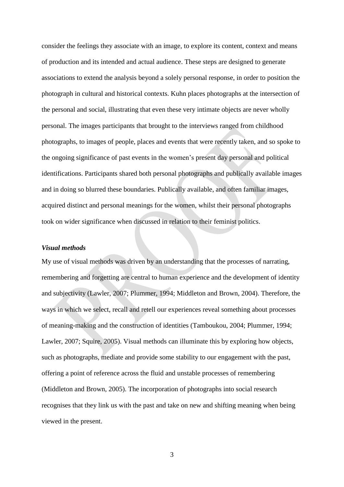consider the feelings they associate with an image, to explore its content, context and means of production and its intended and actual audience. These steps are designed to generate associations to extend the analysis beyond a solely personal response, in order to position the photograph in cultural and historical contexts. Kuhn places photographs at the intersection of the personal and social, illustrating that even these very intimate objects are never wholly personal. The images participants that brought to the interviews ranged from childhood photographs, to images of people, places and events that were recently taken, and so spoke to the ongoing significance of past events in the women's present day personal and political identifications. Participants shared both personal photographs and publically available images and in doing so blurred these boundaries. Publically available, and often familiar images, acquired distinct and personal meanings for the women, whilst their personal photographs took on wider significance when discussed in relation to their feminist politics.

#### *Visual methods*

My use of visual methods was driven by an understanding that the processes of narrating, remembering and forgetting are central to human experience and the development of identity and subjectivity (Lawler, 2007; Plummer, 1994; Middleton and Brown, 2004). Therefore, the ways in which we select, recall and retell our experiences reveal something about processes of meaning-making and the construction of identities (Tamboukou, 2004; Plummer, 1994; Lawler, 2007; Squire, 2005). Visual methods can illuminate this by exploring how objects, such as photographs, mediate and provide some stability to our engagement with the past, offering a point of reference across the fluid and unstable processes of remembering (Middleton and Brown, 2005). The incorporation of photographs into social research recognises that they link us with the past and take on new and shifting meaning when being viewed in the present.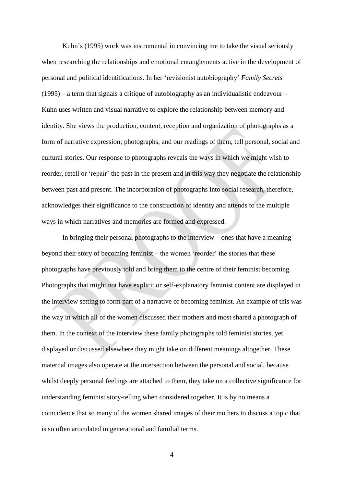Kuhn's (1995) work was instrumental in convincing me to take the visual seriously when researching the relationships and emotional entanglements active in the development of personal and political identifications. In her 'revisionist autobiography' *Family Secrets*  $(1995)$  – a term that signals a critique of autobiography as an individualistic endeavour – Kuhn uses written and visual narrative to explore the relationship between memory and identity. She views the production, content, reception and organization of photographs as a form of narrative expression; photographs, and our readings of them, tell personal, social and cultural stories. Our response to photographs reveals the ways in which we might wish to reorder, retell or 'repair' the past in the present and in this way they negotiate the relationship between past and present. The incorporation of photographs into social research, therefore, acknowledges their significance to the construction of identity and attends to the multiple ways in which narratives and memories are formed and expressed.

In bringing their personal photographs to the interview – ones that have a meaning beyond their story of becoming feminist – the women 'reorder' the stories that these photographs have previously told and bring them to the centre of their feminist becoming. Photographs that might not have explicit or self-explanatory feminist content are displayed in the interview setting to form part of a narrative of becoming feminist. An example of this was the way in which all of the women discussed their mothers and most shared a photograph of them. In the context of the interview these family photographs told feminist stories, yet displayed or discussed elsewhere they might take on different meanings altogether. These maternal images also operate at the intersection between the personal and social, because whilst deeply personal feelings are attached to them, they take on a collective significance for understanding feminist story-telling when considered together. It is by no means a coincidence that so many of the women shared images of their mothers to discuss a topic that is so often articulated in generational and familial terms.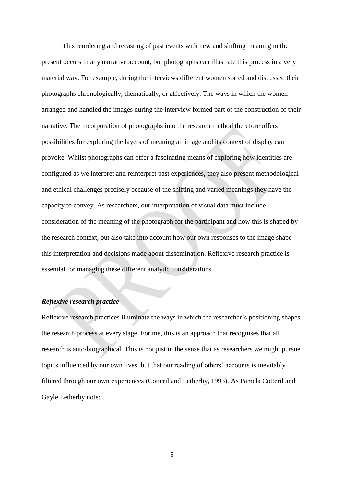This reordering and recasting of past events with new and shifting meaning in the present occurs in any narrative account, but photographs can illustrate this process in a very material way. For example, during the interviews different women sorted and discussed their photographs chronologically, thematically, or affectively. The ways in which the women arranged and handled the images during the interview formed part of the construction of their narrative. The incorporation of photographs into the research method therefore offers possibilities for exploring the layers of meaning an image and its context of display can provoke. Whilst photographs can offer a fascinating means of exploring how identities are configured as we interpret and reinterpret past experiences, they also present methodological and ethical challenges precisely because of the shifting and varied meanings they have the capacity to convey. As researchers, our interpretation of visual data must include consideration of the meaning of the photograph for the participant and how this is shaped by the research context, but also take into account how our own responses to the image shape this interpretation and decisions made about dissemination. Reflexive research practice is essential for managing these different analytic considerations.

#### *Reflexive research practice*

Reflexive research practices illuminate the ways in which the researcher's positioning shapes the research process at every stage. For me, this is an approach that recognises that all research is auto/biographical. This is not just in the sense that as researchers we might pursue topics influenced by our own lives, but that our reading of others' accounts is inevitably filtered through our own experiences (Cotteril and Letherby, 1993). As Pamela Cotteril and Gayle Letherby note: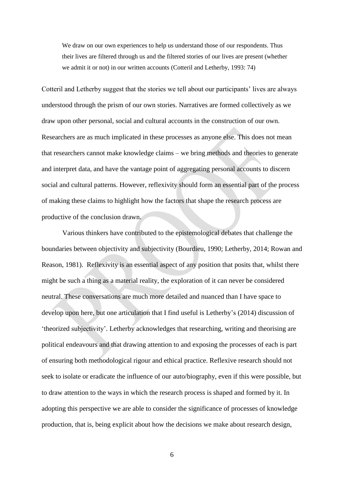We draw on our own experiences to help us understand those of our respondents. Thus their lives are filtered through us and the filtered stories of our lives are present (whether we admit it or not) in our written accounts (Cotteril and Letherby, 1993: 74)

Cotteril and Letherby suggest that the stories we tell about our participants' lives are always understood through the prism of our own stories. Narratives are formed collectively as we draw upon other personal, social and cultural accounts in the construction of our own. Researchers are as much implicated in these processes as anyone else. This does not mean that researchers cannot make knowledge claims – we bring methods and theories to generate and interpret data, and have the vantage point of aggregating personal accounts to discern social and cultural patterns. However, reflexivity should form an essential part of the process of making these claims to highlight how the factors that shape the research process are productive of the conclusion drawn.

Various thinkers have contributed to the epistemological debates that challenge the boundaries between objectivity and subjectivity (Bourdieu, 1990; Letherby, 2014; Rowan and Reason, 1981). Reflexivity is an essential aspect of any position that posits that, whilst there might be such a thing as a material reality, the exploration of it can never be considered neutral. These conversations are much more detailed and nuanced than I have space to develop upon here, but one articulation that I find useful is Letherby's (2014) discussion of 'theorized subjectivity'. Letherby acknowledges that researching, writing and theorising are political endeavours and that drawing attention to and exposing the processes of each is part of ensuring both methodological rigour and ethical practice. Reflexive research should not seek to isolate or eradicate the influence of our auto/biography, even if this were possible, but to draw attention to the ways in which the research process is shaped and formed by it. In adopting this perspective we are able to consider the significance of processes of knowledge production, that is, being explicit about how the decisions we make about research design,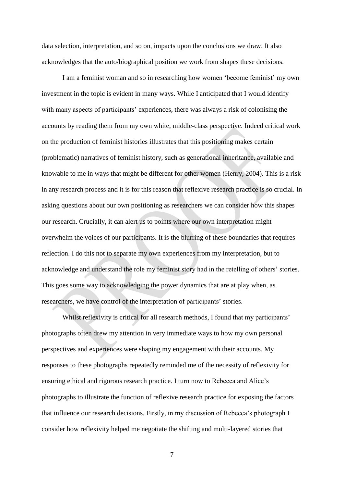data selection, interpretation, and so on, impacts upon the conclusions we draw. It also acknowledges that the auto/biographical position we work from shapes these decisions.

I am a feminist woman and so in researching how women 'become feminist' my own investment in the topic is evident in many ways. While I anticipated that I would identify with many aspects of participants' experiences, there was always a risk of colonising the accounts by reading them from my own white, middle-class perspective. Indeed critical work on the production of feminist histories illustrates that this positioning makes certain (problematic) narratives of feminist history, such as generational inheritance, available and knowable to me in ways that might be different for other women (Henry, 2004). This is a risk in any research process and it is for this reason that reflexive research practice is so crucial. In asking questions about our own positioning as researchers we can consider how this shapes our research. Crucially, it can alert us to points where our own interpretation might overwhelm the voices of our participants. It is the blurring of these boundaries that requires reflection. I do this not to separate my own experiences from my interpretation, but to acknowledge and understand the role my feminist story had in the retelling of others' stories. This goes some way to acknowledging the power dynamics that are at play when, as researchers, we have control of the interpretation of participants' stories.

Whilst reflexivity is critical for all research methods, I found that my participants' photographs often drew my attention in very immediate ways to how my own personal perspectives and experiences were shaping my engagement with their accounts. My responses to these photographs repeatedly reminded me of the necessity of reflexivity for ensuring ethical and rigorous research practice. I turn now to Rebecca and Alice's photographs to illustrate the function of reflexive research practice for exposing the factors that influence our research decisions. Firstly, in my discussion of Rebecca's photograph I consider how reflexivity helped me negotiate the shifting and multi-layered stories that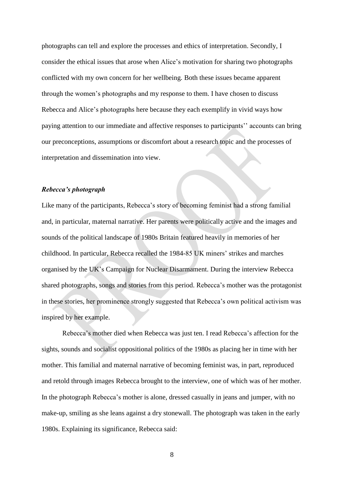photographs can tell and explore the processes and ethics of interpretation. Secondly, I consider the ethical issues that arose when Alice's motivation for sharing two photographs conflicted with my own concern for her wellbeing. Both these issues became apparent through the women's photographs and my response to them. I have chosen to discuss Rebecca and Alice's photographs here because they each exemplify in vivid ways how paying attention to our immediate and affective responses to participants'' accounts can bring our preconceptions, assumptions or discomfort about a research topic and the processes of interpretation and dissemination into view.

#### *Rebecca's photograph*

Like many of the participants, Rebecca's story of becoming feminist had a strong familial and, in particular, maternal narrative. Her parents were politically active and the images and sounds of the political landscape of 1980s Britain featured heavily in memories of her childhood. In particular, Rebecca recalled the 1984-85 UK miners' strikes and marches organised by the UK's Campaign for Nuclear Disarmament. During the interview Rebecca shared photographs, songs and stories from this period. Rebecca's mother was the protagonist in these stories, her prominence strongly suggested that Rebecca's own political activism was inspired by her example.

Rebecca's mother died when Rebecca was just ten. I read Rebecca's affection for the sights, sounds and socialist oppositional politics of the 1980s as placing her in time with her mother. This familial and maternal narrative of becoming feminist was, in part, reproduced and retold through images Rebecca brought to the interview, one of which was of her mother. In the photograph Rebecca's mother is alone, dressed casually in jeans and jumper, with no make-up, smiling as she leans against a dry stonewall. The photograph was taken in the early 1980s. Explaining its significance, Rebecca said: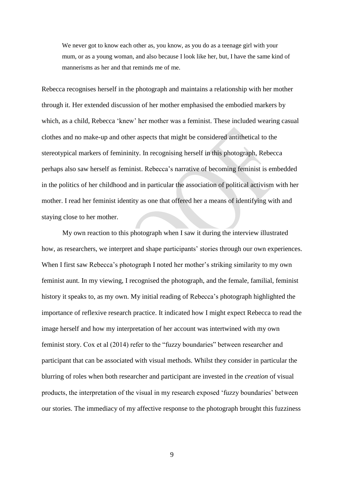We never got to know each other as, you know, as you do as a teenage girl with your mum, or as a young woman, and also because I look like her, but, I have the same kind of mannerisms as her and that reminds me of me.

Rebecca recognises herself in the photograph and maintains a relationship with her mother through it. Her extended discussion of her mother emphasised the embodied markers by which, as a child, Rebecca 'knew' her mother was a feminist. These included wearing casual clothes and no make-up and other aspects that might be considered antithetical to the stereotypical markers of femininity. In recognising herself in this photograph, Rebecca perhaps also saw herself as feminist. Rebecca's narrative of becoming feminist is embedded in the politics of her childhood and in particular the association of political activism with her mother. I read her feminist identity as one that offered her a means of identifying with and staying close to her mother.

My own reaction to this photograph when I saw it during the interview illustrated how, as researchers, we interpret and shape participants' stories through our own experiences. When I first saw Rebecca's photograph I noted her mother's striking similarity to my own feminist aunt. In my viewing, I recognised the photograph, and the female, familial, feminist history it speaks to, as my own. My initial reading of Rebecca's photograph highlighted the importance of reflexive research practice. It indicated how I might expect Rebecca to read the image herself and how my interpretation of her account was intertwined with my own feminist story. Cox et al (2014) refer to the "fuzzy boundaries" between researcher and participant that can be associated with visual methods. Whilst they consider in particular the blurring of roles when both researcher and participant are invested in the *creation* of visual products, the interpretation of the visual in my research exposed 'fuzzy boundaries' between our stories. The immediacy of my affective response to the photograph brought this fuzziness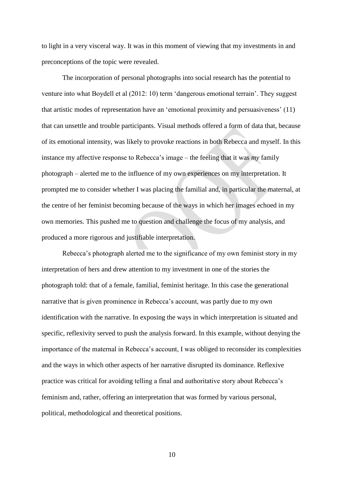to light in a very visceral way. It was in this moment of viewing that my investments in and preconceptions of the topic were revealed.

The incorporation of personal photographs into social research has the potential to venture into what Boydell et al (2012: 10) term 'dangerous emotional terrain'. They suggest that artistic modes of representation have an 'emotional proximity and persuasiveness' (11) that can unsettle and trouble participants. Visual methods offered a form of data that, because of its emotional intensity, was likely to provoke reactions in both Rebecca and myself. In this instance my affective response to Rebecca's image – the feeling that it was *my* family photograph – alerted me to the influence of my own experiences on my interpretation. It prompted me to consider whether I was placing the familial and, in particular the maternal, at the centre of her feminist becoming because of the ways in which her images echoed in my own memories. This pushed me to question and challenge the focus of my analysis, and produced a more rigorous and justifiable interpretation.

Rebecca's photograph alerted me to the significance of my own feminist story in my interpretation of hers and drew attention to my investment in one of the stories the photograph told: that of a female, familial, feminist heritage. In this case the generational narrative that is given prominence in Rebecca's account, was partly due to my own identification with the narrative. In exposing the ways in which interpretation is situated and specific, reflexivity served to push the analysis forward. In this example, without denying the importance of the maternal in Rebecca's account, I was obliged to reconsider its complexities and the ways in which other aspects of her narrative disrupted its dominance. Reflexive practice was critical for avoiding telling a final and authoritative story about Rebecca's feminism and, rather, offering an interpretation that was formed by various personal, political, methodological and theoretical positions.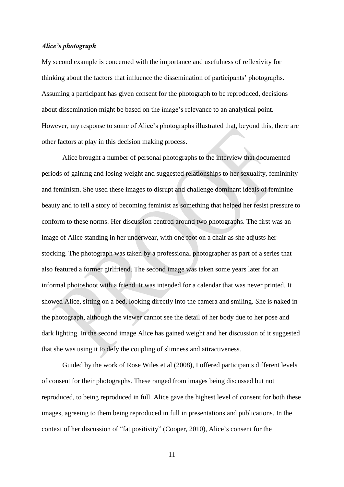#### *Alice's photograph*

My second example is concerned with the importance and usefulness of reflexivity for thinking about the factors that influence the dissemination of participants' photographs. Assuming a participant has given consent for the photograph to be reproduced, decisions about dissemination might be based on the image's relevance to an analytical point. However, my response to some of Alice's photographs illustrated that, beyond this, there are other factors at play in this decision making process.

Alice brought a number of personal photographs to the interview that documented periods of gaining and losing weight and suggested relationships to her sexuality, femininity and feminism. She used these images to disrupt and challenge dominant ideals of feminine beauty and to tell a story of becoming feminist as something that helped her resist pressure to conform to these norms. Her discussion centred around two photographs. The first was an image of Alice standing in her underwear, with one foot on a chair as she adjusts her stocking. The photograph was taken by a professional photographer as part of a series that also featured a former girlfriend. The second image was taken some years later for an informal photoshoot with a friend. It was intended for a calendar that was never printed. It showed Alice, sitting on a bed, looking directly into the camera and smiling. She is naked in the photograph, although the viewer cannot see the detail of her body due to her pose and dark lighting. In the second image Alice has gained weight and her discussion of it suggested that she was using it to defy the coupling of slimness and attractiveness.

Guided by the work of Rose Wiles et al (2008), I offered participants different levels of consent for their photographs. These ranged from images being discussed but not reproduced, to being reproduced in full. Alice gave the highest level of consent for both these images, agreeing to them being reproduced in full in presentations and publications. In the context of her discussion of "fat positivity" (Cooper, 2010), Alice's consent for the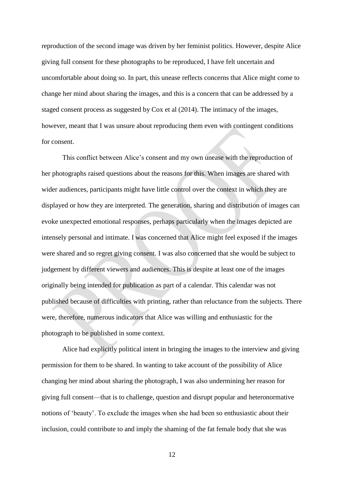reproduction of the second image was driven by her feminist politics. However, despite Alice giving full consent for these photographs to be reproduced, I have felt uncertain and uncomfortable about doing so. In part, this unease reflects concerns that Alice might come to change her mind about sharing the images, and this is a concern that can be addressed by a staged consent process as suggested by Cox et al (2014). The intimacy of the images, however, meant that I was unsure about reproducing them even with contingent conditions for consent.

This conflict between Alice's consent and my own unease with the reproduction of her photographs raised questions about the reasons for this. When images are shared with wider audiences, participants might have little control over the context in which they are displayed or how they are interpreted. The generation, sharing and distribution of images can evoke unexpected emotional responses, perhaps particularly when the images depicted are intensely personal and intimate. I was concerned that Alice might feel exposed if the images were shared and so regret giving consent. I was also concerned that she would be subject to judgement by different viewers and audiences. This is despite at least one of the images originally being intended for publication as part of a calendar. This calendar was not published because of difficulties with printing, rather than reluctance from the subjects. There were, therefore, numerous indicators that Alice was willing and enthusiastic for the photograph to be published in some context.

Alice had explicitly political intent in bringing the images to the interview and giving permission for them to be shared. In wanting to take account of the possibility of Alice changing her mind about sharing the photograph, I was also undermining her reason for giving full consent—that is to challenge, question and disrupt popular and heteronormative notions of 'beauty'. To exclude the images when she had been so enthusiastic about their inclusion, could contribute to and imply the shaming of the fat female body that she was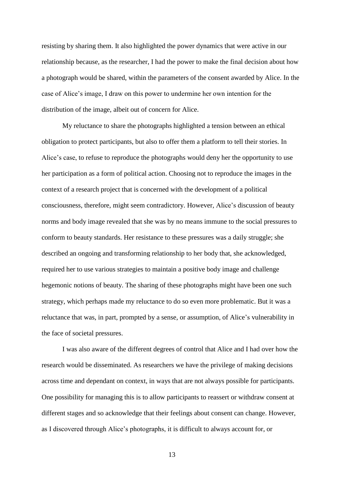resisting by sharing them. It also highlighted the power dynamics that were active in our relationship because, as the researcher, I had the power to make the final decision about how a photograph would be shared, within the parameters of the consent awarded by Alice. In the case of Alice's image, I draw on this power to undermine her own intention for the distribution of the image, albeit out of concern for Alice.

My reluctance to share the photographs highlighted a tension between an ethical obligation to protect participants, but also to offer them a platform to tell their stories. In Alice's case, to refuse to reproduce the photographs would deny her the opportunity to use her participation as a form of political action. Choosing not to reproduce the images in the context of a research project that is concerned with the development of a political consciousness, therefore, might seem contradictory. However, Alice's discussion of beauty norms and body image revealed that she was by no means immune to the social pressures to conform to beauty standards. Her resistance to these pressures was a daily struggle; she described an ongoing and transforming relationship to her body that, she acknowledged, required her to use various strategies to maintain a positive body image and challenge hegemonic notions of beauty. The sharing of these photographs might have been one such strategy, which perhaps made my reluctance to do so even more problematic. But it was a reluctance that was, in part, prompted by a sense, or assumption, of Alice's vulnerability in the face of societal pressures.

I was also aware of the different degrees of control that Alice and I had over how the research would be disseminated. As researchers we have the privilege of making decisions across time and dependant on context, in ways that are not always possible for participants. One possibility for managing this is to allow participants to reassert or withdraw consent at different stages and so acknowledge that their feelings about consent can change. However, as I discovered through Alice's photographs, it is difficult to always account for, or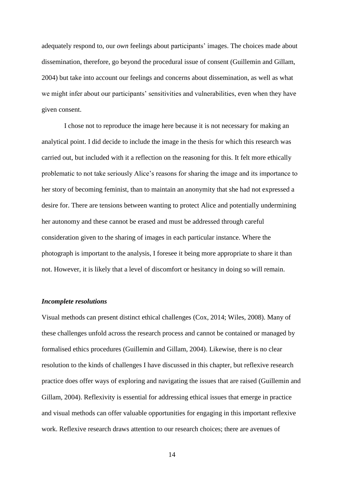adequately respond to, our *own* feelings about participants' images. The choices made about dissemination, therefore, go beyond the procedural issue of consent (Guillemin and Gillam, 2004) but take into account our feelings and concerns about dissemination, as well as what we might infer about our participants' sensitivities and vulnerabilities, even when they have given consent.

I chose not to reproduce the image here because it is not necessary for making an analytical point. I did decide to include the image in the thesis for which this research was carried out, but included with it a reflection on the reasoning for this. It felt more ethically problematic to not take seriously Alice's reasons for sharing the image and its importance to her story of becoming feminist, than to maintain an anonymity that she had not expressed a desire for. There are tensions between wanting to protect Alice and potentially undermining her autonomy and these cannot be erased and must be addressed through careful consideration given to the sharing of images in each particular instance. Where the photograph is important to the analysis, I foresee it being more appropriate to share it than not. However, it is likely that a level of discomfort or hesitancy in doing so will remain.

#### *Incomplete resolutions*

Visual methods can present distinct ethical challenges (Cox, 2014; Wiles, 2008). Many of these challenges unfold across the research process and cannot be contained or managed by formalised ethics procedures (Guillemin and Gillam, 2004). Likewise, there is no clear resolution to the kinds of challenges I have discussed in this chapter, but reflexive research practice does offer ways of exploring and navigating the issues that are raised (Guillemin and Gillam, 2004). Reflexivity is essential for addressing ethical issues that emerge in practice and visual methods can offer valuable opportunities for engaging in this important reflexive work. Reflexive research draws attention to our research choices; there are avenues of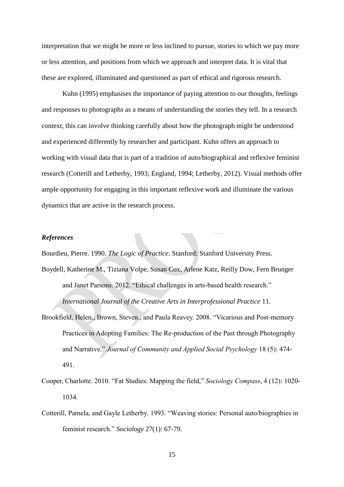interpretation that we might be more or less inclined to pursue, stories to which we pay more or less attention, and positions from which we approach and interpret data. It is vital that these are explored, illuminated and questioned as part of ethical and rigorous research.

Kuhn (1995) emphasises the importance of paying attention to our thoughts, feelings and responses to photographs as a means of understanding the stories they tell. In a research context, this can involve thinking carefully about how the photograph might be understood and experienced differently by researcher and participant. Kuhn offers an approach to working with visual data that is part of a tradition of auto/biographical and reflexive feminist research (Cotterill and Letherby, 1993; England, 1994; Letherby, 2012). Visual methods offer ample opportunity for engaging in this important reflexive work and illuminate the various dynamics that are active in the research process.

# *References*

Bourdieu, Pierre. 1990. *The Logic of Practice*. Stanford: Stanford University Press.

- Boydell, Katherine M., Tiziana Volpe, Susan Cox, Arlene Katz, Reilly Dow, Fern Brunger and Janet Parsons. 2012. "Ethical challenges in arts-based health research." *International Journal of the Creative Arts in Interprofessional Practice* 11.
- Brookfield, Helen., Brown, Steven., and Paula Reavey. 2008. "Vicarious and Post-memory Practices in Adopting Families: The Re-production of the Past through Photography and Narrative." *Journal of Community and Applied Social Psychology* 18 (5): 474- 491.
- Cooper, Charlotte. 2010. "Fat Studies: Mapping the field," *Sociology Compass*, 4 (12): 1020- 1034.
- Cotterill, Pamela, and Gayle Letherby. 1993. "Weaving stories: Personal auto/biographies in feminist research." *Sociology* 27(1): 67-79.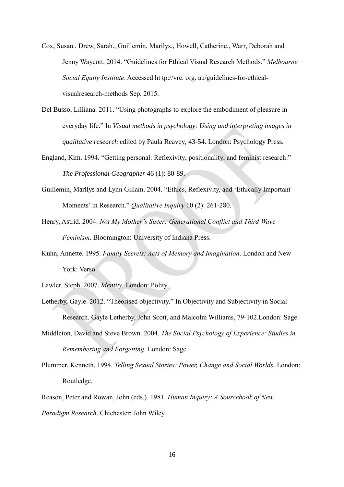- Cox, Susan., Drew, Sarah., Guillemin, Marilys., Howell, Catherine., Warr, Deborah and Jenny Waycott. 2014. "Guidelines for Ethical Visual Research Methods." *Melbourne Social Equity Institute*. Accessed ht tp://vrc. org. au/guidelines-for-ethicalvisualresearch-methods Sep. 2015.
- Del Busso, Lilliana. 2011. "Using photographs to explore the embodiment of pleasure in everyday life." In *Visual methods in psychology: Using and interpreting images in qualitative research* edited by Paula Reavey, 43-54. London: Psychology Press.
- England, Kim. 1994. "Getting personal: Reflexivity, positionality, and feminist research." *The Professional Geographer* 46 (1): 80-89.
- Guillemin, Marilys and Lynn Gillam. 2004. "Ethics, Reflexivity, and 'Ethically Important Moments' in Research." *Qualitative Inquiry* 10 (2): 261-280.
- Henry, Astrid. 2004. *Not My Mother's Sister: Generational Conflict and Third Wave Feminism*. Bloomington: University of Indiana Press.
- Kuhn, Annette. 1995. *Family Secrets: Acts of Memory and Imagination*. London and New York: Verso.

Lawler, Steph. 2007. *Identity*. London: Polity.

- Letherby, Gayle. 2012. "Theorised objectivity." In Objectivity and Subjectivity in Social Research. Gayle Letherby, John Scott, and Malcolm Williams, 79-102.London: Sage.
- Middleton, David and Steve Brown. 2004. *The Social Psychology of Experience: Studies in Remembering and Forgetting*. London: Sage.
- Plummer, Kenneth. 1994. *Telling Sexual Stories: Power, Change and Social Worlds*. London: Routledge.
- Reason, Peter and Rowan, John (eds.). 1981. *Human Inquiry: A Sourcebook of New Paradigm Research*. Chichester: John Wiley.